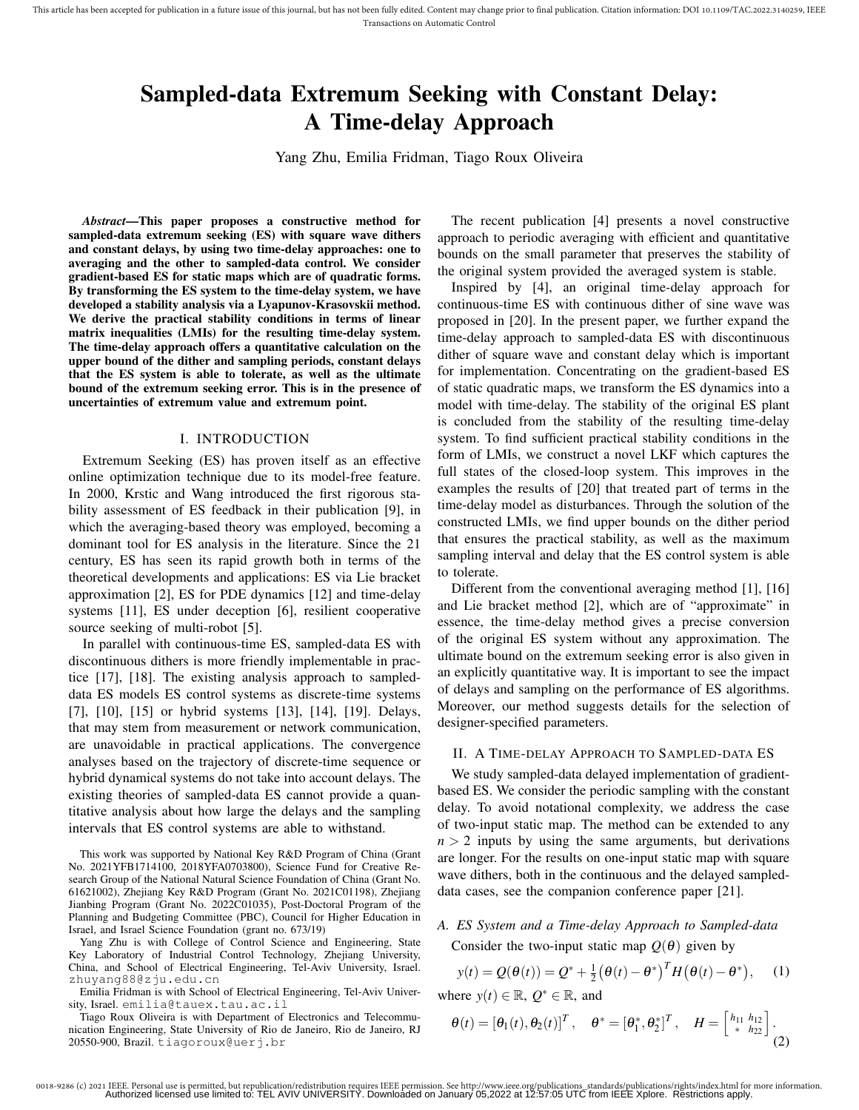# Sampled-data Extremum Seeking with Constant Delay: A Time-delay Approach

Yang Zhu, Emilia Fridman, Tiago Roux Oliveira

*Abstract*—This paper proposes a constructive method for sampled-data extremum seeking (ES) with square wave dithers and constant delays, by using two time-delay approaches: one to averaging and the other to sampled-data control. We consider gradient-based ES for static maps which are of quadratic forms. By transforming the ES system to the time-delay system, we have developed a stability analysis via a Lyapunov-Krasovskii method. We derive the practical stability conditions in terms of linear matrix inequalities (LMIs) for the resulting time-delay system. The time-delay approach offers a quantitative calculation on the upper bound of the dither and sampling periods, constant delays that the ES system is able to tolerate, as well as the ultimate bound of the extremum seeking error. This is in the presence of uncertainties of extremum value and extremum point.

#### I. INTRODUCTION

Extremum Seeking (ES) has proven itself as an effective online optimization technique due to its model-free feature. In 2000, Krstic and Wang introduced the first rigorous stability assessment of ES feedback in their publication [9], in which the averaging-based theory was employed, becoming a dominant tool for ES analysis in the literature. Since the 21 century, ES has seen its rapid growth both in terms of the theoretical developments and applications: ES via Lie bracket approximation [2], ES for PDE dynamics [12] and time-delay systems [11], ES under deception [6], resilient cooperative source seeking of multi-robot [5].

In parallel with continuous-time ES, sampled-data ES with discontinuous dithers is more friendly implementable in practice [17], [18]. The existing analysis approach to sampleddata ES models ES control systems as discrete-time systems [7], [10], [15] or hybrid systems [13], [14], [19]. Delays, that may stem from measurement or network communication, are unavoidable in practical applications. The convergence analyses based on the trajectory of discrete-time sequence or hybrid dynamical systems do not take into account delays. The existing theories of sampled-data ES cannot provide a quantitative analysis about how large the delays and the sampling intervals that ES control systems are able to withstand.

This work was supported by National Key R&D Program of China (Grant No. 2021YFB1714100, 2018YFA0703800), Science Fund for Creative Research Group of the National Natural Science Foundation of China (Grant No. 61621002), Zhejiang Key R&D Program (Grant No. 2021C01198), Zhejiang Jianbing Program (Grant No. 2022C01035), Post-Doctoral Program of the Planning and Budgeting Committee (PBC), Council for Higher Education in Israel, and Israel Science Foundation (grant no. 673/19)

Yang Zhu is with College of Control Science and Engineering, State Key Laboratory of Industrial Control Technology, Zhejiang University, China, and School of Electrical Engineering, Tel-Aviv University, Israel. zhuyang88@zju.edu.cn

Emilia Fridman is with School of Electrical Engineering, Tel-Aviv University, Israel. emilia@tauex.tau.ac.il

Tiago Roux Oliveira is with Department of Electronics and Telecommunication Engineering, State University of Rio de Janeiro, Rio de Janeiro, RJ 20550-900, Brazil. tiagoroux@uerj.br

The recent publication [4] presents a novel constructive approach to periodic averaging with efficient and quantitative bounds on the small parameter that preserves the stability of the original system provided the averaged system is stable.

Inspired by [4], an original time-delay approach for continuous-time ES with continuous dither of sine wave was proposed in [20]. In the present paper, we further expand the time-delay approach to sampled-data ES with discontinuous dither of square wave and constant delay which is important for implementation. Concentrating on the gradient-based ES of static quadratic maps, we transform the ES dynamics into a model with time-delay. The stability of the original ES plant is concluded from the stability of the resulting time-delay system. To find sufficient practical stability conditions in the form of LMIs, we construct a novel LKF which captures the full states of the closed-loop system. This improves in the examples the results of [20] that treated part of terms in the time-delay model as disturbances. Through the solution of the constructed LMIs, we find upper bounds on the dither period that ensures the practical stability, as well as the maximum sampling interval and delay that the ES control system is able to tolerate.

Different from the conventional averaging method [1], [16] and Lie bracket method [2], which are of "approximate" in essence, the time-delay method gives a precise conversion of the original ES system without any approximation. The ultimate bound on the extremum seeking error is also given in an explicitly quantitative way. It is important to see the impact of delays and sampling on the performance of ES algorithms. Moreover, our method suggests details for the selection of designer-specified parameters.

## II. A TIME-DELAY APPROACH TO SAMPLED-DATA ES

We study sampled-data delayed implementation of gradientbased ES. We consider the periodic sampling with the constant delay. To avoid notational complexity, we address the case of two-input static map. The method can be extended to any  $n > 2$  inputs by using the same arguments, but derivations are longer. For the results on one-input static map with square wave dithers, both in the continuous and the delayed sampleddata cases, see the companion conference paper [21].

# *A. ES System and a Time-delay Approach to Sampled-data* Consider the two-input static map  $Q(\theta)$  given by

$$
y(t) = Q(\theta(t)) = Q^* + \frac{1}{2} (\theta(t) - \theta^*)^T H(\theta(t) - \theta^*), \quad (1)
$$

where  $y(t) \in \mathbb{R}$ ,  $Q^* \in \mathbb{R}$ , and

$$
\boldsymbol{\theta}(t) = \left[\theta_1(t), \theta_2(t)\right]^T, \quad \boldsymbol{\theta}^* = \left[\theta_1^*, \theta_2^*\right]^T, \quad H = \left[\begin{smallmatrix} h_{11} & h_{12} \\ * & h_{22} \end{smallmatrix}\right].
$$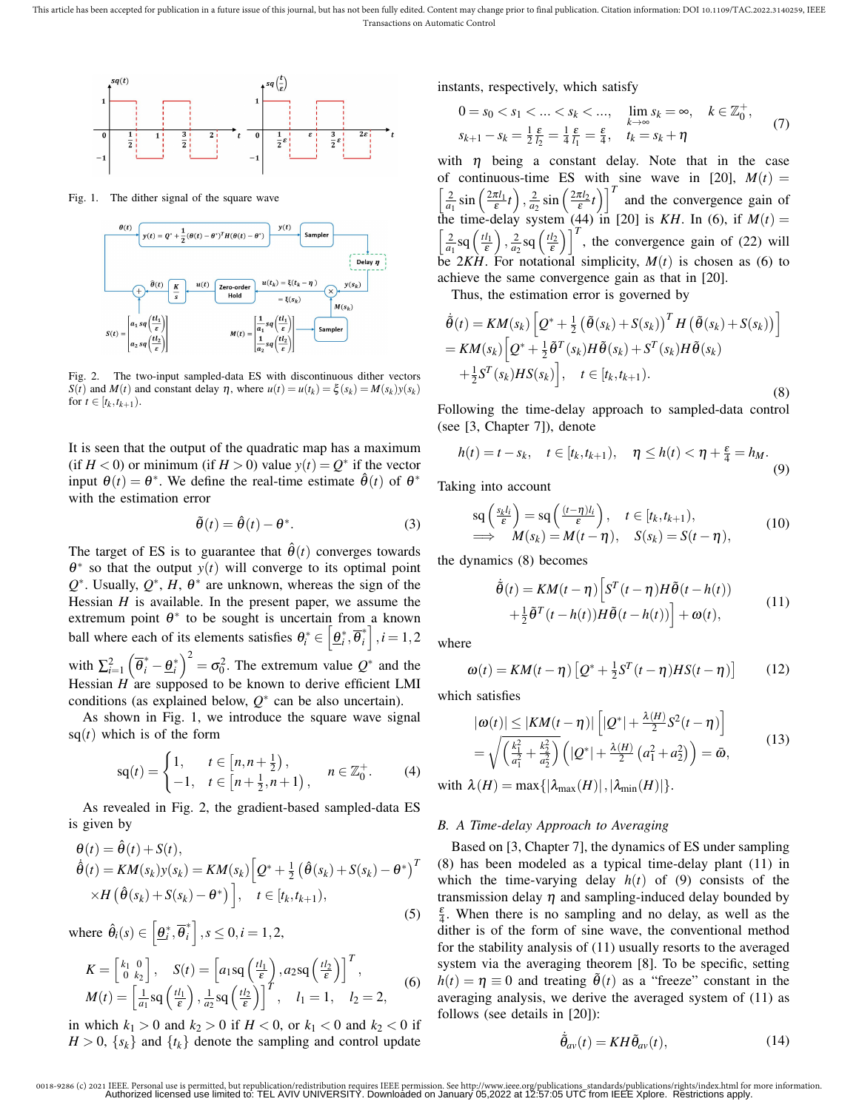

Fig. 1. The dither signal of the square wave



Fig. 2. The two-input sampled-data ES with discontinuous dither vectors *S*(*t*) and *M*(*t*) and constant delay  $\eta$ , where  $u(t) = u(t_k) = \xi(s_k) = M(s_k)y(s_k)$ for  $t \in [t_k, t_{k+1})$ .

It is seen that the output of the quadratic map has a maximum (if  $H < 0$ ) or minimum (if  $H > 0$ ) value  $y(t) = Q^*$  if the vector input  $\theta(t) = \theta^*$ . We define the real-time estimate  $\hat{\theta}(t)$  of  $\theta^*$ with the estimation error

$$
\tilde{\theta}(t) = \hat{\theta}(t) - \theta^*.
$$
 (3)

The target of ES is to guarantee that  $\hat{\theta}(t)$  converges towards  $\theta^*$  so that the output  $y(t)$  will converge to its optimal point  $Q^*$ . Usually,  $Q^*$ , *H*,  $\theta^*$  are unknown, whereas the sign of the Hessian *H* is available. In the present paper, we assume the extremum point  $\theta^*$  to be sought is uncertain from a known ball where each of its elements satisfies  $\theta_i^* \in \left[\underline{\theta}_i^*, \overline{\theta}_i^*\right]$  $\begin{bmatrix} i \\ i \end{bmatrix}$ ,  $i = 1, 2$ with  $\sum_{i=1}^{2} \left( \overline{\theta}_{i}^{*} - \underline{\theta}_{i}^{*} \right)^{2} = \sigma_{0}^{2}$ . The extremum value  $Q^{*}$  and the Hessian  $H$  are supposed to be known to derive efficient LMI conditions (as explained below,  $Q^*$  can be also uncertain).

As shown in Fig. 1, we introduce the square wave signal  $sq(t)$  which is of the form

$$
sq(t) = \begin{cases} 1, & t \in [n, n + \frac{1}{2}), \\ -1, & t \in [n + \frac{1}{2}, n + 1), \end{cases} \quad n \in \mathbb{Z}_{0}^{+}.
$$
 (4)

As revealed in Fig. 2, the gradient-based sampled-data ES is given by

$$
\begin{aligned} \theta(t) &= \hat{\theta}(t) + S(t), \\ \hat{\theta}(t) &= KM(s_k) y(s_k) = KM(s_k) \left[ Q^* + \frac{1}{2} \left( \hat{\theta}(s_k) + S(s_k) - \theta^* \right)^T \right. \\ &\times H\left( \hat{\theta}(s_k) + S(s_k) - \theta^* \right) \right], \quad t \in [t_k, t_{k+1}), \end{aligned} \tag{5}
$$

where  $\hat{\theta}_i(s) \in \left[\underline{\theta}_i^*, \overline{\theta}_i^*\right]$  $\begin{cases} a_i^* \end{cases}$ ,  $s \le 0, i = 1, 2$ ,

$$
K = \begin{bmatrix} k_1 & 0 \\ 0 & k_2 \end{bmatrix}, \quad S(t) = \begin{bmatrix} a_1 \operatorname{sq}\left(\frac{t l_1}{\varepsilon}\right), a_2 \operatorname{sq}\left(\frac{t l_2}{\varepsilon}\right) \end{bmatrix}^T, M(t) = \begin{bmatrix} \frac{1}{a_1} \operatorname{sq}\left(\frac{t l_1}{\varepsilon}\right), \frac{1}{a_2} \operatorname{sq}\left(\frac{t l_2}{\varepsilon}\right) \end{bmatrix}^T, \quad l_1 = 1, \quad l_2 = 2,
$$
 (6)

in which  $k_1 > 0$  and  $k_2 > 0$  if  $H < 0$ , or  $k_1 < 0$  and  $k_2 < 0$  if  $H > 0$ ,  $\{s_k\}$  and  $\{t_k\}$  denote the sampling and control update instants, respectively, which satisfy

$$
0 = s_0 < s_1 < \dots < s_k < \dots, \quad \lim_{k \to \infty} s_k = \infty, \quad k \in \mathbb{Z}_0^+,
$$
\n
$$
s_{k+1} - s_k = \frac{1}{2} \frac{\varepsilon}{l_2} = \frac{1}{4} \frac{\varepsilon}{l_1} = \frac{\varepsilon}{4}, \quad t_k = s_k + \eta \tag{7}
$$

with  $\eta$  being a constant delay. Note that in the case of continuous-time ES with sine wave in [20],  $M(t) =$  $\left[\frac{2}{a_1}\sin\left(\frac{2\pi l_1}{\epsilon}t\right), \frac{2}{a_2}\sin\left(\frac{2\pi l_2}{\epsilon}t\right)\right]^T$  and the convergence gain of the time-delay system (44) in [20] is  $KH$ . In (6), if  $M(t) =$  $\left[\frac{2}{a_1} \text{sq}\left(\frac{t l_1}{\varepsilon}\right), \frac{2}{a_2} \text{sq}\left(\frac{t l_2}{\varepsilon}\right)\right]^T$ , the convergence gain of (22) will be  $2KH$ . For notational simplicity,  $M(t)$  is chosen as (6) to achieve the same convergence gain as that in [20].

Thus, the estimation error is governed by

$$
\tilde{\theta}(t) = KM(s_k) \left[ Q^* + \frac{1}{2} \left( \tilde{\theta}(s_k) + S(s_k) \right)^T H \left( \tilde{\theta}(s_k) + S(s_k) \right) \right]
$$
\n
$$
= KM(s_k) \left[ Q^* + \frac{1}{2} \tilde{\theta}^T(s_k) H \tilde{\theta}(s_k) + S^T(s_k) H \tilde{\theta}(s_k)
$$
\n
$$
+ \frac{1}{2} S^T(s_k) H S(s_k) \right], \quad t \in [t_k, t_{k+1}).
$$
\n(8)

Following the time-delay approach to sampled-data control (see [3, Chapter 7]), denote

$$
h(t) = t - s_k, \quad t \in [t_k, t_{k+1}), \quad \eta \le h(t) < \eta + \frac{\varepsilon}{4} = h_M. \tag{9}
$$

Taking into account

$$
\begin{array}{l}\n\operatorname{sq}\left(\frac{s_k l_i}{\varepsilon}\right) = \operatorname{sq}\left(\frac{(t-\eta)l_i}{\varepsilon}\right), \quad t \in [t_k, t_{k+1}), \\
\implies M(s_k) = M(t-\eta), \quad S(s_k) = S(t-\eta),\n\end{array} \tag{10}
$$

the dynamics (8) becomes

$$
\dot{\tilde{\theta}}(t) = KM(t - \eta) \left[ S^T(t - \eta) H \tilde{\theta}(t - h(t)) + \frac{1}{2} \tilde{\theta}^T(t - h(t)) H \tilde{\theta}(t - h(t)) \right] + \omega(t),
$$
\n(11)

where

$$
\omega(t) = KM(t - \eta) \left[ Q^* + \frac{1}{2} S^T(t - \eta) HS(t - \eta) \right]
$$
 (12)

which satisfies

$$
|\omega(t)| \le |KM(t-\eta)| \left[ |Q^*| + \frac{\lambda(H)}{2} S^2(t-\eta) \right] = \sqrt{\left( \frac{k_1^2}{a_1^2} + \frac{k_2^2}{a_2^2} \right)} \left( |Q^*| + \frac{\lambda(H)}{2} \left( a_1^2 + a_2^2 \right) \right) = \bar{\omega},
$$
(13)

with  $\lambda(H) = \max\{|\lambda_{\max}(H)|, |\lambda_{\min}(H)|\}.$ 

#### *B. A Time-delay Approach to Averaging*

Based on [3, Chapter 7], the dynamics of ES under sampling (8) has been modeled as a typical time-delay plant (11) in which the time-varying delay  $h(t)$  of (9) consists of the transmission delay  $\eta$  and sampling-induced delay bounded by  $\frac{\varepsilon}{4}$ . When there is no sampling and no delay, as well as the dither is of the form of sine wave, the conventional method for the stability analysis of (11) usually resorts to the averaged system via the averaging theorem [8]. To be specific, setting  $h(t) = \eta \equiv 0$  and treating  $\tilde{\theta}(t)$  as a "freeze" constant in the averaging analysis, we derive the averaged system of (11) as follows (see details in [20]):

$$
\dot{\tilde{\theta}}_{av}(t) = KH \tilde{\theta}_{av}(t), \qquad (14)
$$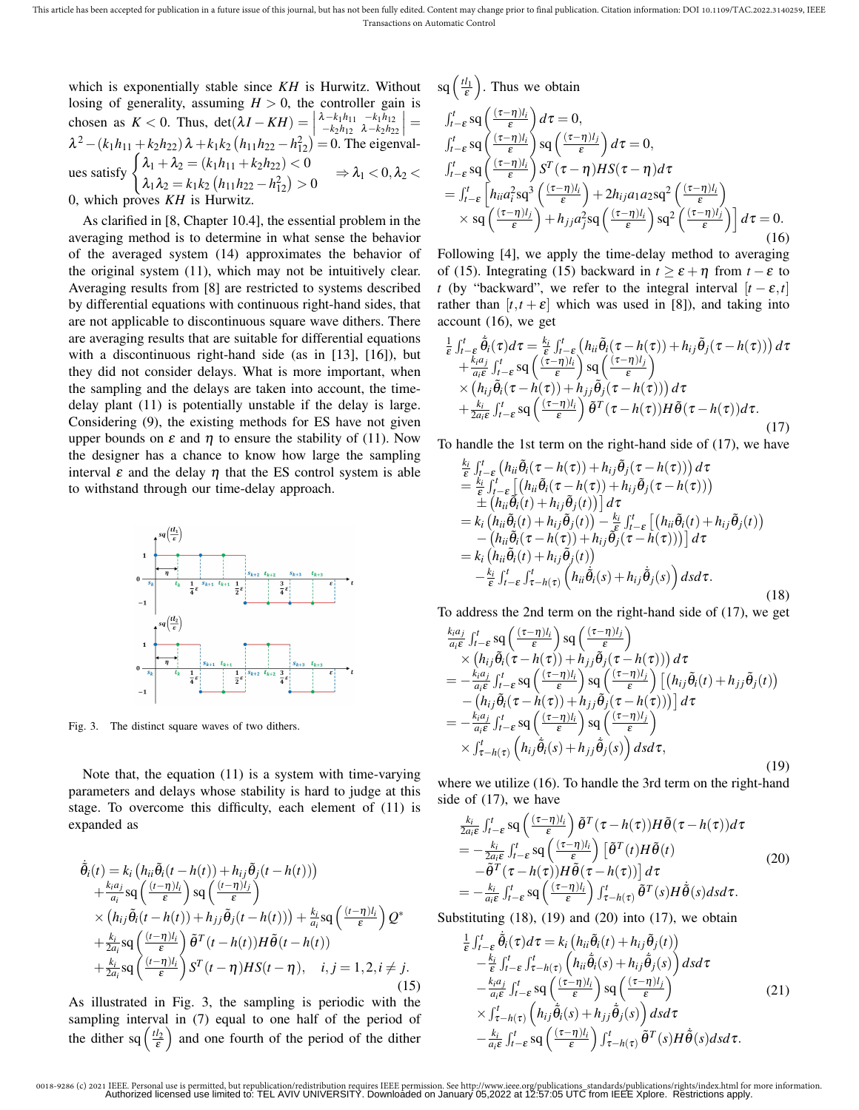which is exponentially stable since *KH* is Hurwitz. Without losing of generality, assuming  $H > 0$ , the controller gain is chosen as *K* < 0. Thus, det(λ*I* − *KH*) =    λ−*k*1*h*<sup>11</sup> −*k*1*h*<sup>12</sup> −*k*2*h*<sup>12</sup> λ−*k*2*h*<sup>22</sup>  $\Big| =$  $\lambda^2 - (k_1 h_{11} + k_2 h_{22}) \lambda + k_1 k_2 (h_{11} h_{22} - h_{12}^2) = 0$ . The eigenvalues satisfy  $\begin{cases} \lambda_1 + \lambda_2 = (k_1 h_{11} + k_2 h_{22}) < 0 \\ \lambda_2 = (k_1 h_{11} + k_2 h_{22}) \end{cases}$  $\lambda_1 \lambda_2 = k_1 k_2 \left( h_{11} h_{22} - h_{12}^2 \right) > 0 \Rightarrow \lambda_1 < 0, \lambda_2 <$ 0, which proves *KH* is Hurwitz.

As clarified in [8, Chapter 10.4], the essential problem in the averaging method is to determine in what sense the behavior of the averaged system (14) approximates the behavior of the original system (11), which may not be intuitively clear. Averaging results from [8] are restricted to systems described by differential equations with continuous right-hand sides, that are not applicable to discontinuous square wave dithers. There are averaging results that are suitable for differential equations with a discontinuous right-hand side (as in [13], [16]), but they did not consider delays. What is more important, when the sampling and the delays are taken into account, the timedelay plant (11) is potentially unstable if the delay is large. Considering (9), the existing methods for ES have not given upper bounds on  $\varepsilon$  and  $\eta$  to ensure the stability of (11). Now the designer has a chance to know how large the sampling interval  $\varepsilon$  and the delay  $\eta$  that the ES control system is able to withstand through our time-delay approach.



Fig. 3. The distinct square waves of two dithers.

Note that, the equation (11) is a system with time-varying parameters and delays whose stability is hard to judge at this stage. To overcome this difficulty, each element of (11) is expanded as

$$
\tilde{\theta}_{i}(t) = k_{i} \left( h_{ii} \tilde{\theta}_{i}(t - h(t)) + h_{ij} \tilde{\theta}_{j}(t - h(t)) \right) \n+ \frac{k_{i} a_{j}}{a_{i}} \text{sq} \left( \frac{(t - \eta) l_{i}}{\varepsilon} \right) \text{sq} \left( \frac{(t - \eta) l_{j}}{\varepsilon} \right) \n\times \left( h_{ij} \tilde{\theta}_{i}(t - h(t)) + h_{jj} \tilde{\theta}_{j}(t - h(t)) \right) + \frac{k_{i}}{a_{i}} \text{sq} \left( \frac{(t - \eta) l_{i}}{\varepsilon} \right) Q^{*} \n+ \frac{k_{i}}{2a_{i}} \text{sq} \left( \frac{(t - \eta) l_{i}}{\varepsilon} \right) \tilde{\theta}^{T} (t - h(t)) H \tilde{\theta}(t - h(t)) \n+ \frac{k_{i}}{2a_{i}} \text{sq} \left( \frac{(t - \eta) l_{i}}{\varepsilon} \right) S^{T} (t - \eta) H S(t - \eta), \quad i, j = 1, 2, i \neq j.
$$
\n(15)

As illustrated in Fig. 3, the sampling is periodic with the sampling interval in (7) equal to one half of the period of the dither sq  $\left(\frac{t_2}{\varepsilon}\right)$  and one fourth of the period of the dither

$$
sq\left(\frac{tl_1}{\varepsilon}\right)
$$
. Thus we obtain

$$
\int_{t-\epsilon}^{t} \operatorname{sq}\left(\frac{(\tau-\eta)l_{i}}{\epsilon}\right) d\tau = 0,
$$
\n
$$
\int_{t-\epsilon}^{t} \operatorname{sq}\left(\frac{(\tau-\eta)l_{i}}{\epsilon}\right) \operatorname{sq}\left(\frac{(\tau-\eta)l_{j}}{\epsilon}\right) d\tau = 0,
$$
\n
$$
\int_{t-\epsilon}^{t} \operatorname{sq}\left(\frac{(\tau-\eta)l_{i}}{\epsilon}\right) S^{T}(\tau-\eta) HS(\tau-\eta) d\tau
$$
\n
$$
= \int_{t-\epsilon}^{t} \left[h_{ii} a_{i}^{2} \operatorname{sq}^{3}\left(\frac{(\tau-\eta)l_{i}}{\epsilon}\right) + 2h_{ij} a_{1} a_{2} \operatorname{sq}^{2}\left(\frac{(\tau-\eta)l_{i}}{\epsilon}\right) + 2h_{ij} a_{1} a_{2} \operatorname{sq}^{2}\left(\frac{(\tau-\eta)l_{i}}{\epsilon}\right) \operatorname{sq}^{2}\left(\frac{(\tau-\eta)l_{j}}{\epsilon}\right) d\tau = 0.
$$
\n(A16)

Following [4], we apply the time-delay method to averaging of (15). Integrating (15) backward in  $t \geq \varepsilon + \eta$  from  $t - \varepsilon$  to *t* (by "backward", we refer to the integral interval  $[t - \varepsilon, t]$ rather than  $[t, t + \varepsilon]$  which was used in [8]), and taking into account (16), we get

$$
\frac{1}{\varepsilon} \int_{t-\varepsilon}^{t} \hat{\theta}_{i}(\tau) d\tau = \frac{k_{i}}{\varepsilon} \int_{t-\varepsilon}^{t} (h_{ii} \tilde{\theta}_{i}(\tau - h(\tau)) + h_{ij} \tilde{\theta}_{j}(\tau - h(\tau))) d\tau \n+ \frac{k_{i} a_{j}}{a_{i} \varepsilon} \int_{t-\varepsilon}^{t} \text{sq}\left(\frac{(\tau - \eta)l_{i}}{\varepsilon}\right) \text{sq}\left(\frac{(\tau - \eta)l_{j}}{\varepsilon}\right) \n\times (h_{ij} \tilde{\theta}_{i}(\tau - h(\tau)) + h_{jj} \tilde{\theta}_{j}(\tau - h(\tau))) d\tau \n+ \frac{k_{i}}{2a_{i} \varepsilon} \int_{t-\varepsilon}^{t} \text{sq}\left(\frac{(\tau - \eta)l_{i}}{\varepsilon}\right) \tilde{\theta}^{T}(\tau - h(\tau)) H \tilde{\theta}(\tau - h(\tau)) d\tau.
$$
\n(17)

To handle the 1st term on the right-hand side of (17), we have

$$
\frac{k_i}{\varepsilon} \int_{t-\varepsilon}^{t} (h_{ii} \tilde{\theta}_i(\tau - h(\tau)) + h_{ij} \tilde{\theta}_j(\tau - h(\tau))) d\tau \n= \frac{k_i}{\varepsilon} \int_{t-\varepsilon}^{t} \left[ (h_{ii} \tilde{\theta}_i(\tau - h(\tau)) + h_{ij} \tilde{\theta}_j(\tau - h(\tau))) \n+ (h_{ii} \tilde{\theta}_i(t) + h_{ij} \tilde{\theta}_j(t)) \right] d\tau \n= k_i (h_{ii} \tilde{\theta}_i(\tau) + h_{ij} \tilde{\theta}_j(t)) - \frac{k_i}{\varepsilon} \int_{t-\varepsilon}^{t} \left[ (h_{ii} \tilde{\theta}_i(t) + h_{ij} \tilde{\theta}_j(t)) \n- (h_{ii} \tilde{\theta}_i(\tau - h(\tau)) + h_{ij} \tilde{\theta}_j(\tau - h(\tau))) \right] d\tau \n= k_i (h_{ii} \tilde{\theta}_i(t) + h_{ij} \tilde{\theta}_j(t)) \n- \frac{k_i}{\varepsilon} \int_{t-\varepsilon}^{t} \int_{\tau - h(\tau)}^{t} \left( h_{ii} \tilde{\theta}_i(s) + h_{ij} \tilde{\theta}_j(s) \right) ds d\tau.
$$
\n(18)

To address the 2nd term on the right-hand side of (17), we get

$$
\frac{k_i a_j}{a_i \varepsilon} \int_{t-\varepsilon}^t \operatorname{sq}\left(\frac{(\tau-\eta)l_i}{\varepsilon}\right) \operatorname{sq}\left(\frac{(\tau-\eta)l_j}{\varepsilon}\right) \n\times \left(h_{ij} \tilde{\theta}_i(\tau-h(\tau)) + h_{jj} \tilde{\theta}_j(\tau-h(\tau))\right) d\tau \n= -\frac{k_i a_j}{a_i \varepsilon} \int_{t-\varepsilon}^t \operatorname{sq}\left(\frac{(\tau-\eta)l_i}{\varepsilon}\right) \operatorname{sq}\left(\frac{(\tau-\eta)l_j}{\varepsilon}\right) \left[\left(h_{ij} \tilde{\theta}_i(t) + h_{jj} \tilde{\theta}_j(t)\right) \right. \n- \left(h_{ij} \tilde{\theta}_i(\tau-h(\tau)) + h_{jj} \tilde{\theta}_j(\tau-h(\tau))\right) d\tau \n= -\frac{k_i a_j}{a_i \varepsilon} \int_{t-\varepsilon}^t \operatorname{sq}\left(\frac{(\tau-\eta)l_i}{\varepsilon}\right) \operatorname{sq}\left(\frac{(\tau-\eta)l_j}{\varepsilon}\right) \n\times \int_{\tau-h(\tau)}^t \left(h_{ij} \tilde{\theta}_i(s) + h_{jj} \tilde{\theta}_j(s)\right) ds d\tau,
$$
\n(19)

where we utilize (16). To handle the 3rd term on the right-hand side of (17), we have

$$
\frac{k_i}{2a_i\epsilon} \int_{t-\epsilon}^t \operatorname{sq}\left(\frac{(\tau-\eta)l_i}{\epsilon}\right) \tilde{\theta}^T(\tau-h(\tau))H\tilde{\theta}(\tau-h(\tau))d\tau \n= -\frac{k_i}{2a_i\epsilon} \int_{t-\epsilon}^t \operatorname{sq}\left(\frac{(\tau-\eta)l_i}{\epsilon}\right) \left[\tilde{\theta}^T(t)H\tilde{\theta}(t) \right] \n- \tilde{\theta}^T(\tau-h(\tau))H\tilde{\theta}(\tau-h(\tau)) dt \n= -\frac{k_i}{a_i\epsilon} \int_{t-\epsilon}^t \operatorname{sq}\left(\frac{(\tau-\eta)l_i}{\epsilon}\right) \int_{\tau-h(\tau)}^t \tilde{\theta}^T(s)H\tilde{\theta}(s)dsd\tau.
$$
\n(20)

Substituting  $(18)$ ,  $(19)$  and  $(20)$  into  $(17)$ , we obtain

$$
\frac{1}{\varepsilon} \int_{t-\varepsilon}^{t} \tilde{\theta}_{i}(\tau) d\tau = k_{i} \left( h_{ii} \tilde{\theta}_{i}(t) + h_{ij} \tilde{\theta}_{j}(t) \right) \n- \frac{k_{i}}{\varepsilon} \int_{t-\varepsilon}^{t} \int_{\tau-h(\tau)}^{t} \left( h_{ii} \tilde{\theta}_{i}(s) + h_{ij} \tilde{\theta}_{j}(s) \right) ds d\tau \n- \frac{k_{i}a_{j}}{a_{i}\varepsilon} \int_{t-\varepsilon}^{t} \operatorname{sq} \left( \frac{(\tau-\eta)l_{i}}{\varepsilon} \right) \operatorname{sq} \left( \frac{(\tau-\eta)l_{j}}{\varepsilon} \right) \n\times \int_{\tau-h(\tau)}^{t} \left( h_{ij} \tilde{\theta}_{i}(s) + h_{jj} \tilde{\theta}_{j}(s) \right) ds d\tau \n- \frac{k_{i}}{a_{i}\varepsilon} \int_{t-\varepsilon}^{t} \operatorname{sq} \left( \frac{(\tau-\eta)l_{i}}{\varepsilon} \right) \int_{\tau-h(\tau)}^{t} \tilde{\theta}^{T}(s) H \tilde{\theta}(s) ds d\tau.
$$
\n(21)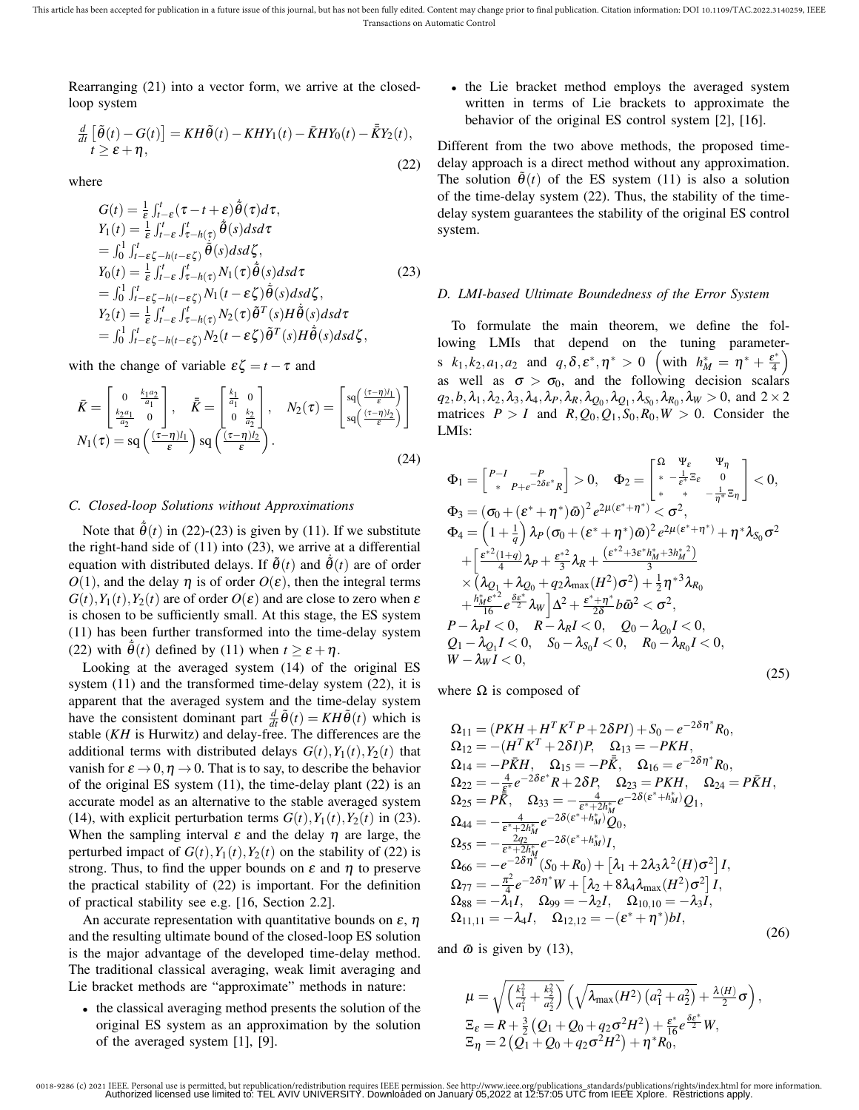Rearranging (21) into a vector form, we arrive at the closedloop system

$$
\frac{d}{dt}\left[\tilde{\theta}(t) - G(t)\right] = KH\tilde{\theta}(t) - KHY_1(t) - \bar{K}HY_0(t) - \bar{K}Y_2(t),
$$
\n
$$
t \ge \varepsilon + \eta,
$$
\n(22)

where

$$
G(t) = \frac{1}{\varepsilon} \int_{t-\varepsilon}^{t} (\tau - t + \varepsilon) \tilde{\theta}(\tau) d\tau,
$$
  
\n
$$
Y_1(t) = \frac{1}{\varepsilon} \int_{t-\varepsilon}^{t} \int_{\tau - h(\tau)}^t \tilde{\theta}(s) ds d\tau
$$
  
\n
$$
= \int_0^1 \int_{t-\varepsilon}^t \zeta_{-h(t-\varepsilon\zeta)} \tilde{\theta}(s) ds d\zeta,
$$
  
\n
$$
Y_0(t) = \frac{1}{\varepsilon} \int_{t-\varepsilon}^t \int_{\tau - h(\tau)}^t N_1(\tau) \tilde{\theta}(s) ds d\tau
$$
  
\n
$$
= \int_0^1 \int_{t-\varepsilon}^t \zeta_{-h(t-\varepsilon\zeta)} N_1(t-\varepsilon\zeta) \tilde{\theta}(s) ds d\zeta,
$$
  
\n
$$
Y_2(t) = \frac{1}{\varepsilon} \int_{t-\varepsilon}^t \int_{\tau - h(\tau)}^t N_2(\tau) \tilde{\theta}^T(s) H \tilde{\theta}(s) ds d\tau
$$
  
\n
$$
= \int_0^1 \int_{t-\varepsilon}^t \zeta_{-h(t-\varepsilon\zeta)} N_2(t-\varepsilon\zeta) \tilde{\theta}^T(s) H \tilde{\theta}(s) ds d\zeta,
$$

with the change of variable  $\varepsilon \zeta = t - \tau$  and

$$
\bar{K} = \begin{bmatrix} 0 & \frac{k_1 a_2}{a_1} \\ \frac{k_2 a_1}{a_2} & 0 \end{bmatrix}, \quad \bar{\bar{K}} = \begin{bmatrix} \frac{k_1}{a_1} & 0 \\ 0 & \frac{k_2}{a_2} \end{bmatrix}, \quad N_2(\tau) = \begin{bmatrix} sq(\frac{(\tau - \eta)l_1}{\epsilon}) \\ sq(\frac{(\tau - \eta)l_2}{\epsilon}) \end{bmatrix}
$$

$$
N_1(\tau) = sq(\frac{(\tau - \eta)l_1}{\epsilon}) sq(\frac{(\tau - \eta)l_2}{\epsilon}).
$$
(24)

## *C. Closed-loop Solutions without Approximations*

Note that  $\dot{\tilde{\theta}}(t)$  in (22)-(23) is given by (11). If we substitute the right-hand side of (11) into (23), we arrive at a differential equation with distributed delays. If  $\tilde{\theta}(t)$  and  $\dot{\tilde{\theta}}(t)$  are of order  $O(1)$ , and the delay  $\eta$  is of order  $O(\varepsilon)$ , then the integral terms  $G(t)$ ,  $Y_1(t)$ ,  $Y_2(t)$  are of order  $O(\varepsilon)$  and are close to zero when  $\varepsilon$ is chosen to be sufficiently small. At this stage, the ES system (11) has been further transformed into the time-delay system (22) with  $\dot{\tilde{\theta}}(t)$  defined by (11) when  $t \ge \varepsilon + \eta$ .

Looking at the averaged system (14) of the original ES system (11) and the transformed time-delay system (22), it is apparent that the averaged system and the time-delay system have the consistent dominant part  $\frac{d}{dt}\tilde{\theta}(t) = KH\tilde{\theta}(t)$  which is stable (*KH* is Hurwitz) and delay-free. The differences are the additional terms with distributed delays  $G(t)$ ,  $Y_1(t)$ ,  $Y_2(t)$  that vanish for  $\varepsilon \to 0$ ,  $\eta \to 0$ . That is to say, to describe the behavior of the original ES system (11), the time-delay plant (22) is an accurate model as an alternative to the stable averaged system (14), with explicit perturbation terms  $G(t)$ ,  $Y_1(t)$ ,  $Y_2(t)$  in (23). When the sampling interval  $\varepsilon$  and the delay  $\eta$  are large, the perturbed impact of  $G(t)$ ,  $Y_1(t)$ ,  $Y_2(t)$  on the stability of (22) is strong. Thus, to find the upper bounds on  $\varepsilon$  and  $\eta$  to preserve the practical stability of (22) is important. For the definition of practical stability see e.g. [16, Section 2.2].

An accurate representation with quantitative bounds on  $\varepsilon$ ,  $\eta$ and the resulting ultimate bound of the closed-loop ES solution is the major advantage of the developed time-delay method. The traditional classical averaging, weak limit averaging and Lie bracket methods are "approximate" methods in nature:

• the classical averaging method presents the solution of the original ES system as an approximation by the solution of the averaged system [1], [9].

• the Lie bracket method employs the averaged system written in terms of Lie brackets to approximate the behavior of the original ES control system [2], [16].

Different from the two above methods, the proposed timedelay approach is a direct method without any approximation. The solution  $\tilde{\theta}(t)$  of the ES system (11) is also a solution of the time-delay system (22). Thus, the stability of the timedelay system guarantees the stability of the original ES control system.

#### *D. LMI-based Ultimate Boundedness of the Error System*

To formulate the main theorem, we define the following LMIs that depend on the tuning parameters  $k_1, k_2, a_1, a_2$  and  $q, \delta, \varepsilon^*, \eta^* > 0$  (with  $h_M^* = \eta^* + \frac{\varepsilon^*}{4}$  $\frac{2^*}{4}\right)$ as well as  $\sigma > \sigma_0$ , and the following decision scalars  $q_2, b, \lambda_1, \lambda_2, \lambda_3, \lambda_4, \lambda_P, \lambda_R, \lambda_{Q_0}, \lambda_{Q_1}, \lambda_{S_0}, \lambda_{R_0}, \lambda_W > 0$ , and  $2 \times 2$ matrices  $P > I$  and  $R, Q_0, Q_1, S_0, R_0, W > 0$ . Consider the LMIs:

$$
\Phi_{1} = \begin{bmatrix} P-I & -P \\ * & P+e^{-2\delta\epsilon^{*}}R \end{bmatrix} > 0, \quad \Phi_{2} = \begin{bmatrix} \Omega & \Psi_{\epsilon} & \Psi_{\eta} \\ * & -\frac{1}{\epsilon^{*}}\Xi_{\epsilon} & 0 \\ * & * & -\frac{1}{\eta^{*}}\Xi_{\eta} \end{bmatrix} < 0,
$$
  
\n
$$
\Phi_{3} = (\sigma_{0} + (\epsilon^{*} + \eta^{*})\bar{\omega})^{2} e^{2\mu(\epsilon^{*} + \eta^{*})} < \sigma^{2},
$$
  
\n
$$
\Phi_{4} = \left(1 + \frac{1}{q}\right) \lambda_{P} (\sigma_{0} + (\epsilon^{*} + \eta^{*})\bar{\omega})^{2} e^{2\mu(\epsilon^{*} + \eta^{*})} + \eta^{*} \lambda_{S_{0}} \sigma^{2}
$$
  
\n
$$
+ \begin{bmatrix} \frac{\epsilon^{*2}(1+q)}{4} \lambda_{P} + \frac{\epsilon^{*2}}{3} \lambda_{R} + \frac{(\epsilon^{*2} + 3\epsilon^{*} h_{M}^{*} + 3h_{M}^{*}^{2})}{3} \\ \times (\lambda_{Q_{1}} + \lambda_{Q_{0}} + q_{2} \lambda_{\max}(H^{2})\sigma^{2}) + \frac{1}{2} \eta^{*3} \lambda_{R_{0}}
$$
  
\n
$$
+ \frac{h_{M}^{*} \epsilon^{*2}}{16} e^{\frac{S_{\epsilon^{*}}}{2}} \lambda_{W} \Delta^{2} + \frac{\epsilon^{*} + \eta^{*}}{2\delta} b \bar{\omega}^{2} < \sigma^{2},
$$
  
\n
$$
P - \lambda_{P} I < 0, \quad R - \lambda_{R} I < 0, \quad Q_{0} - \lambda_{Q_{0}} I < 0,
$$
  
\n
$$
Q_{1} - \lambda_{Q_{1}} I < 0, \quad S_{0} - \lambda_{S_{0}} I < 0, \quad R_{0} - \lambda_{R_{0}} I < 0,
$$
  
\n
$$
W - \lambda_{W} I < 0,
$$
  
\n(25)

where  $\Omega$  is composed of

$$
\Omega_{11} = (PKH + H^T K^T P + 2\delta PI) + S_0 - e^{-2\delta \eta^*} R_0, \n\Omega_{12} = -(H^T K^T + 2\delta I)P, \quad \Omega_{13} = -PKH, \n\Omega_{14} = -P\bar{K}H, \quad \Omega_{15} = -P\bar{K}, \quad \Omega_{16} = e^{-2\delta \eta^*} R_0, \n\Omega_{22} = -\frac{4}{\epsilon^*} e^{-2\delta \epsilon^*} R + 2\delta P, \quad \Omega_{23} = PKH, \quad \Omega_{24} = P\bar{K}H, \n\Omega_{25} = P\bar{K}, \quad \Omega_{33} = -\frac{4}{\epsilon^* + 2h_M^*} e^{-2\delta(\epsilon^* + h_M^*)} Q_1, \n\Omega_{44} = -\frac{4}{\epsilon^* + 2h_M^*} e^{-2\delta(\epsilon^* + h_M^*)} Q_0, \n\Omega_{55} = -\frac{2q_2}{\epsilon^* + 2h_M^*} e^{-2\delta(\epsilon^* + h_M^*)} I, \n\Omega_{66} = -e^{-2\delta \eta^*} (S_0 + R_0) + [\lambda_1 + 2\lambda_3 \lambda^2 (H) \sigma^2] I, \n\Omega_{77} = -\frac{\pi^2}{4} e^{-2\delta \eta^*} W + [\lambda_2 + 8\lambda_4 \lambda_{\text{max}} (H^2) \sigma^2] I, \n\Omega_{88} = -\lambda_1 I, \quad \Omega_{99} = -\lambda_2 I, \quad \Omega_{10,10} = -\lambda_3 I, \n\Omega_{11,11} = -\lambda_4 I, \quad \Omega_{12,12} = -(\epsilon^* + \eta^*) bI,
$$
\n(26)

and  $\bar{\omega}$  is given by (13),

$$
\mu = \sqrt{\left(\frac{k_1^2}{a_1^2} + \frac{k_2^2}{a_2^2}\right)} \left(\sqrt{\lambda_{\max}(H^2) (a_1^2 + a_2^2)} + \frac{\lambda(H)}{2} \sigma\right),
$$
  
\n
$$
\Xi_{\varepsilon} = R + \frac{3}{2} \left(Q_1 + Q_0 + q_2 \sigma^2 H^2\right) + \frac{\varepsilon^*}{16} e^{\frac{\delta \varepsilon^*}{2}} W,
$$
  
\n
$$
\Xi_{\eta} = 2 \left(Q_1 + Q_0 + q_2 \sigma^2 H^2\right) + \eta^* R_0,
$$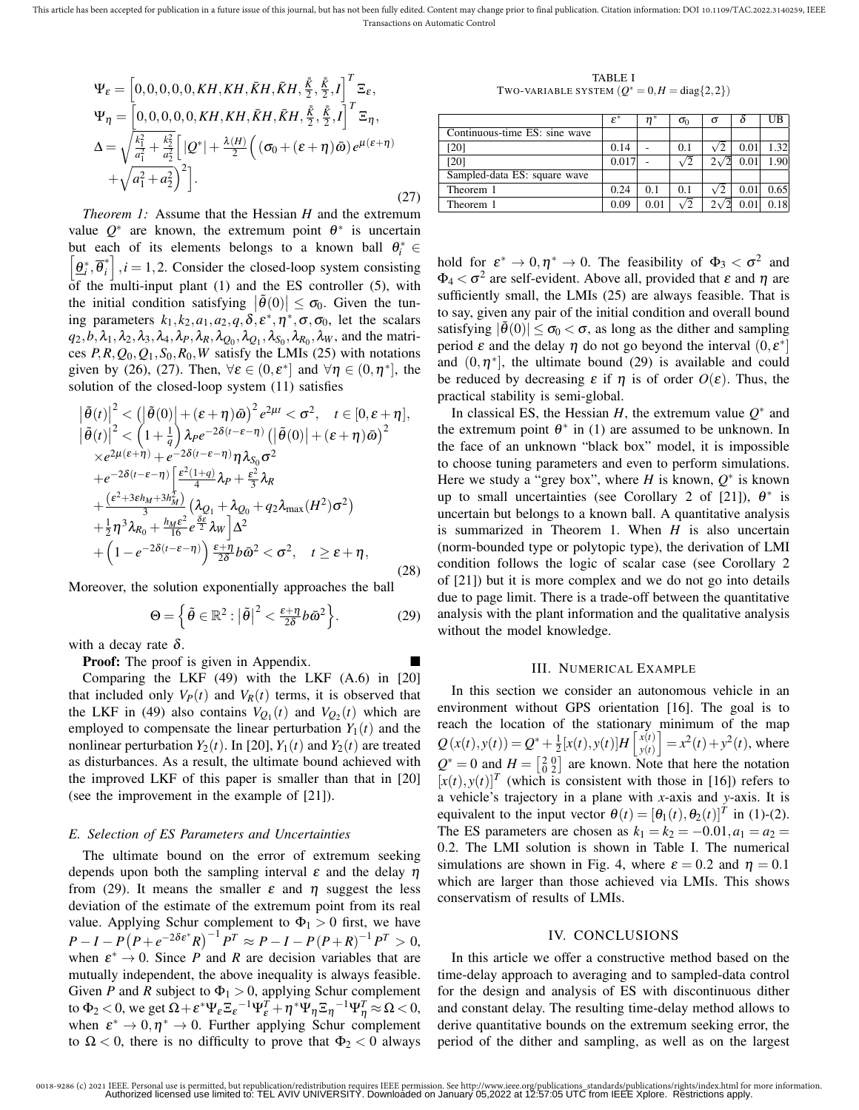This article has been accepted for publication in a future issue of this journal, but has not been fully edited. Content may change prior to final publication. Citation information: DOI 10.1109/TAC.2022.3140259, IEEE Transactions on Automatic Control

$$
\Psi_{\varepsilon} = \left[ 0, 0, 0, 0, 0, KH, KH, \bar{K}H, \bar{K}H, \frac{\bar{K}}{2}, \frac{\bar{K}}{2}, I \right]^{T} \Xi_{\varepsilon},
$$
\n
$$
\Psi_{\eta} = \left[ 0, 0, 0, 0, 0, KH, KH, \bar{K}H, \bar{K}H, \frac{\bar{K}}{2}, \frac{\bar{K}}{2}, I \right]^{T} \Xi_{\eta},
$$
\n
$$
\Delta = \sqrt{\frac{k_{1}^{2}}{a_{1}^{2}} + \frac{k_{2}^{2}}{a_{2}^{2}}} \left[ |Q^{*}| + \frac{\lambda(H)}{2} \left( (\sigma_{0} + (\varepsilon + \eta) \bar{\omega}) e^{\mu(\varepsilon + \eta)} + \sqrt{a_{1}^{2} + a_{2}^{2}} \right)^{2} \right].
$$
\n(27)

*Theorem 1:* Assume that the Hessian *H* and the extremum value  $Q^*$  are known, the extremum point  $\theta^*$  is uncertain but each of its elements belongs to a known ball  $\theta_i^* \in [\theta_i^* \ \vec{\theta}_i^*]$  *i* − 1.2 Consider the closed-loop system consisting  $\underline{\theta}^*_i, \overline{\theta}^*_i$  $i|$ ,  $i = 1, 2$ . Consider the closed-loop system consisting of the multi-input plant (1) and the ES controller (5), with the initial condition satisfying  $|\tilde{\theta}(0)| \leq \sigma_0$ . Given the tuning parameters  $k_1, k_2, a_1, a_2, q, \delta, \varepsilon^*, \eta^*, \sigma, \sigma_0$ , let the scalars  $q_2, b, \lambda_1, \lambda_2, \lambda_3, \lambda_4, \lambda_P, \lambda_R, \lambda_{Q_0}, \lambda_{Q_1}, \lambda_{S_0}, \lambda_{R_0}, \lambda_W$ , and the matrices  $P$ , $R$ ,  $Q_0$ ,  $Q_1$ ,  $S_0$ ,  $R_0$ ,  $W$  satisfy the LMIs (25) with notations given by (26), (27). Then,  $\forall \varepsilon \in (0, \varepsilon^*]$  and  $\forall \eta \in (0, \eta^*]$ , the solution of the closed-loop system (11) satisfies

$$
\begin{split}\n&\left|\tilde{\theta}(t)\right|^2 < \left(\left|\tilde{\theta}(0)\right| + (\varepsilon + \eta)\bar{\omega}\right)^2 e^{2\mu t} < \sigma^2, \quad t \in [0, \varepsilon + \eta], \\
&\left|\tilde{\theta}(t)\right|^2 < \left(1 + \frac{1}{q}\right) \lambda_P e^{-2\delta(t - \varepsilon - \eta)} \left(\left|\tilde{\theta}(0)\right| + (\varepsilon + \eta)\bar{\omega}\right)^2 \\
&\times e^{2\mu(\varepsilon + \eta)} + e^{-2\delta(t - \varepsilon - \eta)} \eta \lambda_{S_0} \sigma^2 \\
&+ e^{-2\delta(t - \varepsilon - \eta)} \left[\frac{\varepsilon^2(1 + q)}{4} \lambda_P + \frac{\varepsilon^2}{3} \lambda_R\right. \\
&\left. + \frac{(\varepsilon^2 + 3\varepsilon h_M + 3h_M^2)}{3} \left(\lambda_{Q_1} + \lambda_{Q_0} + q_2 \lambda_{\max}(H^2)\sigma^2\right) \\
&+ \frac{1}{2} \eta^3 \lambda_{R_0} + \frac{h_M \varepsilon^2}{16} e^{\frac{\delta \varepsilon}{2}} \lambda_W\right] \Delta^2 \\
&+ \left(1 - e^{-2\delta(t - \varepsilon - \eta)}\right) \frac{\varepsilon + \eta}{2\delta} b \bar{\omega}^2 < \sigma^2, \quad t \geq \varepsilon + \eta,\n\end{split} \tag{28}
$$

Moreover, the solution exponentially approaches the ball

$$
\Theta = \left\{ \tilde{\theta} \in \mathbb{R}^2 : \left| \tilde{\theta} \right|^2 < \frac{\varepsilon + \eta}{2\delta} b \bar{\omega}^2 \right\}.
$$
 (29)

with a decay rate  $\delta$ .

Proof: The proof is given in Appendix.

Comparing the LKF (49) with the LKF (A.6) in [20] that included only  $V_P(t)$  and  $V_R(t)$  terms, it is observed that the LKF in (49) also contains  $V_{Q_1}(t)$  and  $V_{Q_2}(t)$  which are employed to compensate the linear perturbation  $Y_1(t)$  and the nonlinear perturbation  $Y_2(t)$ . In [20],  $Y_1(t)$  and  $Y_2(t)$  are treated as disturbances. As a result, the ultimate bound achieved with the improved LKF of this paper is smaller than that in [20] (see the improvement in the example of [21]).

#### *E. Selection of ES Parameters and Uncertainties*

The ultimate bound on the error of extremum seeking depends upon both the sampling interval  $\varepsilon$  and the delay  $\eta$ from (29). It means the smaller  $\varepsilon$  and  $\eta$  suggest the less deviation of the estimate of the extremum point from its real value. Applying Schur complement to  $\Phi_1 > 0$  first, we have  $P-I-P(P+e^{-2\delta \varepsilon^*}R)^{-1}P^T \approx P-I-P(P+R)^{-1}P^T > 0,$ when  $\varepsilon^* \to 0$ . Since *P* and *R* are decision variables that are mutually independent, the above inequality is always feasible. Given *P* and *R* subject to  $\Phi_1 > 0$ , applying Schur complement to  $\Phi_2 < 0$ , we get  $\Omega + \varepsilon^* \Psi_\varepsilon \Xi_\varepsilon^{-1} \Psi_\varepsilon^T + \eta^* \Psi_\eta \Xi_\eta^{-1} \Psi_\eta^T \approx \Omega < 0$ , when  $\varepsilon^* \to 0, \eta^* \to 0$ . Further applying Schur complement to  $\Omega$  < 0, there is no difficulty to prove that  $\Phi_2$  < 0 always

TABLE I TWO-VARIABLE SYSTEM  $(Q^* = 0, H = \text{diag}{2, 2})$ 

|                               | $\varepsilon^*$ | $\boldsymbol{n}$ | $\sigma_0$ | σ |      | UB   |
|-------------------------------|-----------------|------------------|------------|---|------|------|
| Continuous-time ES: sine wave |                 |                  |            |   |      |      |
| [20]                          | 0.14            |                  | 0.1        |   | 0.01 | 1.32 |
| [20]                          | 0.017           |                  |            |   | 0.01 | 1.90 |
| Sampled-data ES: square wave  |                 |                  |            |   |      |      |
| Theorem 1                     | 0.24            | 0.1              | 0.1        |   | 0.01 | 0.65 |
| Theorem 1                     | 0.09            | 0.01             |            |   | 0.0  | 0.18 |

hold for  $\varepsilon^* \to 0, \eta^* \to 0$ . The feasibility of  $\Phi_3 < \sigma^2$  and  $\Phi_4 < \sigma^2$  are self-evident. Above all, provided that  $\varepsilon$  and  $\eta$  are sufficiently small, the LMIs (25) are always feasible. That is to say, given any pair of the initial condition and overall bound satisfying  $|\theta(0)| < \sigma_0 < \sigma$ , as long as the dither and sampling period  $\varepsilon$  and the delay  $\eta$  do not go beyond the interval  $(0, \varepsilon^*)$ and  $(0, \eta^*]$ , the ultimate bound (29) is available and could be reduced by decreasing  $\varepsilon$  if  $\eta$  is of order  $O(\varepsilon)$ . Thus, the practical stability is semi-global.

In classical ES, the Hessian  $H$ , the extremum value  $Q^*$  and the extremum point  $\theta^*$  in (1) are assumed to be unknown. In the face of an unknown "black box" model, it is impossible to choose tuning parameters and even to perform simulations. Here we study a "grey box", where  $H$  is known,  $Q^*$  is known up to small uncertainties (see Corollary 2 of [21]),  $\theta^*$  is uncertain but belongs to a known ball. A quantitative analysis is summarized in Theorem 1. When *H* is also uncertain (norm-bounded type or polytopic type), the derivation of LMI condition follows the logic of scalar case (see Corollary 2 of [21]) but it is more complex and we do not go into details due to page limit. There is a trade-off between the quantitative analysis with the plant information and the qualitative analysis without the model knowledge.

#### III. NUMERICAL EXAMPLE

In this section we consider an autonomous vehicle in an environment without GPS orientation [16]. The goal is to reach the location of the stationary minimum of the map  $Q(x(t), y(t)) = Q^* + \frac{1}{2}[x(t), y(t)]H\left[\frac{x(t)}{y(t)}\right]$  $\begin{bmatrix} x(t) \\ y(t) \end{bmatrix} = x^2(t) + y^2(t)$ , where  $Q^* = 0$  and  $H = \begin{bmatrix} 2 & 0 \\ 0 & 2 \end{bmatrix}$  are known. Note that here the notation  $[x(t), y(t)]^T$  (which is consistent with those in [16]) refers to a vehicle's trajectory in a plane with *x*-axis and *y*-axis. It is equivalent to the input vector  $\theta(t) = [\theta_1(t), \theta_2(t)]^T$  in (1)-(2). The ES parameters are chosen as  $k_1 = k_2 = -0.01, a_1 = a_2 =$ 0.2. The LMI solution is shown in Table I. The numerical simulations are shown in Fig. 4, where  $\varepsilon = 0.2$  and  $\eta = 0.1$ which are larger than those achieved via LMIs. This shows conservatism of results of LMIs.

#### IV. CONCLUSIONS

In this article we offer a constructive method based on the time-delay approach to averaging and to sampled-data control for the design and analysis of ES with discontinuous dither and constant delay. The resulting time-delay method allows to derive quantitative bounds on the extremum seeking error, the period of the dither and sampling, as well as on the largest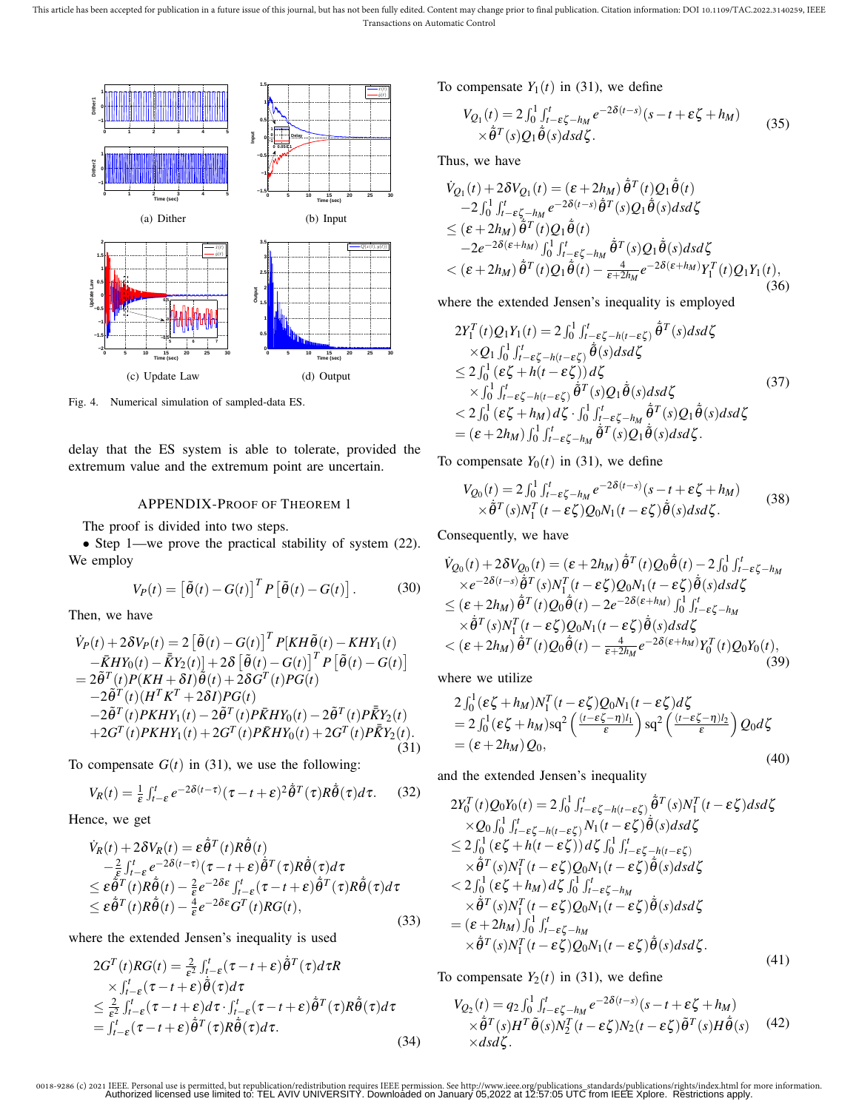This article has been accepted for publication in a future issue of this journal, but has not been fully edited. Content may change prior to final publication. Citation information: DOI 10.1109/TAC.2022.3140259, IEEE Transactions on Automatic Control



Fig. 4. Numerical simulation of sampled-data ES.

delay that the ES system is able to tolerate, provided the extremum value and the extremum point are uncertain.

# APPENDIX-PROOF OF THEOREM 1

The proof is divided into two steps.

• Step 1—we prove the practical stability of system (22). We employ

$$
V_P(t) = \left[\tilde{\theta}(t) - G(t)\right]^T P \left[\tilde{\theta}(t) - G(t)\right]. \tag{30}
$$

Then, we have

$$
\dot{V}_{P}(t) + 2\delta V_{P}(t) = 2 \left[ \tilde{\theta}(t) - G(t) \right]^{T} P[KH\tilde{\theta}(t) - KHY_{1}(t) \n- \bar{K}HY_{0}(t) - \bar{K}Y_{2}(t) \right] + 2\delta \left[ \tilde{\theta}(t) - G(t) \right]^{T} P \left[ \tilde{\theta}(t) - G(t) \right] \n= 2\tilde{\theta}^{T}(t) P(KH + \delta I) \tilde{\theta}(t) + 2\delta G^{T}(t) PG(t) \n- 2\tilde{\theta}^{T}(t) (H^{T}K^{T} + 2\delta I) PG(t) \n- 2\tilde{\theta}^{T}(t) PKHY_{1}(t) - 2\tilde{\theta}^{T}(t) P\bar{K}HY_{0}(t) - 2\tilde{\theta}^{T}(t) P\bar{K}Y_{2}(t) \n+ 2G^{T}(t) PKHY_{1}(t) + 2G^{T}(t) P\bar{K}HY_{0}(t) + 2G^{T}(t) P\bar{K}Y_{2}(t).
$$
\n(31)

To compensate  $G(t)$  in (31), we use the following:

$$
V_R(t) = \frac{1}{\varepsilon} \int_{t-\varepsilon}^t e^{-2\delta(t-\tau)} (\tau - t + \varepsilon)^2 \dot{\tilde{\theta}}^T(\tau) R \dot{\tilde{\theta}}(\tau) d\tau.
$$
 (32)

Hence, we get

$$
\dot{V}_R(t) + 2\delta V_R(t) = \varepsilon \dot{\tilde{\theta}}^T(t) R \dot{\tilde{\theta}}(t) \n- \frac{2}{\varepsilon} \int_{t-\varepsilon}^t e^{-2\delta(t-\tau)} (\tau - t + \varepsilon) \dot{\tilde{\theta}}^T(\tau) R \dot{\tilde{\theta}}(\tau) d\tau \n\leq \varepsilon \dot{\tilde{\theta}}^T(t) R \dot{\tilde{\theta}}(t) - \frac{2}{\varepsilon} e^{-2\delta \varepsilon} \int_{t-\varepsilon}^t (\tau - t + \varepsilon) \dot{\tilde{\theta}}^T(\tau) R \dot{\tilde{\theta}}(\tau) d\tau \n\leq \varepsilon \dot{\tilde{\theta}}^T(t) R \dot{\tilde{\theta}}(t) - \frac{4}{\varepsilon} e^{-2\delta \varepsilon} G^T(t) RG(t),
$$
\n(33)

where the extended Jensen's inequality is used

$$
2G^{T}(t)RG(t) = \frac{2}{\epsilon^{2}} \int_{t-\epsilon}^{t} (\tau - t + \epsilon) \tilde{\theta}^{T}(\tau) d\tau R
$$
  
\n
$$
\times \int_{t-\epsilon}^{t} (\tau - t + \epsilon) \tilde{\theta}(\tau) d\tau
$$
  
\n
$$
\leq \frac{2}{\epsilon^{2}} \int_{t-\epsilon}^{t} (\tau - t + \epsilon) d\tau \cdot \int_{t-\epsilon}^{t} (\tau - t + \epsilon) \tilde{\theta}^{T}(\tau) R \tilde{\theta}(\tau) d\tau
$$
  
\n
$$
= \int_{t-\epsilon}^{t} (\tau - t + \epsilon) \tilde{\theta}^{T}(\tau) R \tilde{\theta}(\tau) d\tau.
$$
\n(34)

˙

To compensate  $Y_1(t)$  in (31), we define

$$
V_{Q_1}(t) = 2 \int_0^1 \int_{t-\epsilon\zeta - h_M}^t e^{-2\delta(t-s)} (s - t + \epsilon\zeta + h_M) \times \hat{\theta}^T(s) Q_1 \hat{\theta}(s) ds d\zeta.
$$
 (35)

Thus, we have

$$
\dot{V}_{Q_1}(t) + 2\delta V_{Q_1}(t) = (\varepsilon + 2h_M) \dot{\tilde{\theta}}^T(t) Q_1 \dot{\tilde{\theta}}(t) \n-2 \int_0^1 \int_{t-\varepsilon\zeta - h_M}^t e^{-2\delta(t-s)} \dot{\tilde{\theta}}^T(s) Q_1 \dot{\tilde{\theta}}(s) ds d\zeta \n\le (\varepsilon + 2h_M) \tilde{\tilde{\theta}}^T(t) Q_1 \dot{\tilde{\theta}}(t) \n-2e^{-2\delta(\varepsilon + h_M)} \int_0^1 \int_{t-\varepsilon\zeta - h_M}^t \dot{\tilde{\theta}}^T(s) Q_1 \dot{\tilde{\theta}}(s) ds d\zeta \n< (\varepsilon + 2h_M) \tilde{\tilde{\theta}}^T(t) Q_1 \dot{\tilde{\theta}}(t) - \frac{4}{\varepsilon + 2h_M} e^{-2\delta(\varepsilon + h_M)} Y_1^T(t) Q_1 Y_1(t),
$$
\n(36)

where the extended Jensen's inequality is employed

$$
2Y_{1}^{T}(t)Q_{1}Y_{1}(t) = 2\int_{0}^{1} \int_{t-\epsilon\zeta-h(t-\epsilon\zeta)}^{t} \tilde{\theta}^{T}(s)dsd\zeta
$$
  
\n
$$
\times Q_{1}\int_{0}^{1} \int_{t-\epsilon\zeta-h(t-\epsilon\zeta)}^{t} \tilde{\theta}(s)dsd\zeta
$$
  
\n
$$
\leq 2\int_{0}^{1} (\epsilon\zeta+h(t-\epsilon\zeta))d\zeta
$$
  
\n
$$
\times \int_{0}^{1} \int_{t-\epsilon\zeta-h(t-\epsilon\zeta)}^{t} \tilde{\theta}^{T}(s)Q_{1}\tilde{\theta}(s)dsd\zeta
$$
  
\n
$$
< 2\int_{0}^{1} (\epsilon\zeta+h_{M})d\zeta \cdot \int_{0}^{1} \int_{t-\epsilon\zeta-h_{M}}^{t} \tilde{\theta}^{T}(s)Q_{1}\tilde{\theta}(s)dsd\zeta
$$
  
\n
$$
= (\epsilon+2h_{M})\int_{0}^{1} \int_{t-\epsilon\zeta-h_{M}}^{t} \tilde{\theta}^{T}(s)Q_{1}\tilde{\theta}(s)dsd\zeta.
$$
  
\n(37)

To compensate  $Y_0(t)$  in (31), we define

$$
V_{Q_0}(t) = 2 \int_0^1 \int_{t-\varepsilon\zeta - h_M}^t e^{-2\delta(t-s)} (s-t+\varepsilon\zeta + h_M) \times \tilde{\theta}^T(s) N_1^T(t-\varepsilon\zeta) Q_0 N_1(t-\varepsilon\zeta) \tilde{\theta}(s) ds d\zeta.
$$
 (38)

Consequently, we have

$$
\dot{V}_{Q_0}(t) + 2\delta V_{Q_0}(t) = (\varepsilon + 2h_M) \tilde{\theta}^T(t) Q_0 \tilde{\theta}(t) - 2 \int_0^1 \int_{t-\varepsilon\zeta - h_M}^t \times e^{-2\delta(t-s)} \tilde{\theta}^T(s) N_1^T(t - \varepsilon\zeta) Q_0 N_1(t - \varepsilon\zeta) \tilde{\theta}(s) ds d\zeta
$$
\n
$$
\leq (\varepsilon + 2h_M) \tilde{\theta}^T(t) Q_0 \tilde{\theta}(t) - 2e^{-2\delta(\varepsilon + h_M)} \int_0^1 \int_{t-\varepsilon\zeta - h_M}^t \times \tilde{\theta}^T(s) N_1^T(t - \varepsilon\zeta) Q_0 N_1(t - \varepsilon\zeta) \tilde{\theta}(s) ds d\zeta
$$
\n
$$
< (\varepsilon + 2h_M) \tilde{\theta}^T(t) Q_0 \tilde{\theta}(t) - \frac{4}{\varepsilon + 2h_M} e^{-2\delta(\varepsilon + h_M)} Y_0^T(t) Q_0 Y_0(t), \tag{39}
$$

where we utilize

$$
2\int_0^1 (\varepsilon\zeta + h_M) N_1^T (t - \varepsilon\zeta) Q_0 N_1 (t - \varepsilon\zeta) d\zeta
$$
  
=  $2\int_0^1 (\varepsilon\zeta + h_M) \operatorname{sq}^2 \left( \frac{(t - \varepsilon\zeta - \eta)l_1}{\varepsilon} \right) \operatorname{sq}^2 \left( \frac{(t - \varepsilon\zeta - \eta)l_2}{\varepsilon} \right) Q_0 d\zeta$   
=  $(\varepsilon + 2h_M) Q_0,$  (40)

and the extended Jensen's inequality

$$
2Y_0^T(t)Q_0Y_0(t) = 2\int_0^1 \int_{t-\epsilon\zeta-h(t-\epsilon\zeta)}^t \tilde{\theta}^T(s)N_1^T(t-\epsilon\zeta)dsd\zeta
$$
  
\n
$$
\times Q_0\int_0^1 \int_{t-\epsilon\zeta-h(t-\epsilon\zeta)}^t N_1(t-\epsilon\zeta) \tilde{\theta}(s)dsd\zeta
$$
  
\n
$$
\leq 2\int_0^1 (\epsilon\zeta+h(t-\epsilon\zeta))d\zeta \int_0^1 \int_{t-\epsilon\zeta-h(t-\epsilon\zeta)}^t \tilde{\theta}^T(s)N_1^T(t-\epsilon\zeta)Q_0N_1(t-\epsilon\zeta) \tilde{\theta}(s)dsd\zeta
$$
  
\n
$$
< 2\int_0^1 (\epsilon\zeta+h_M) d\zeta \int_0^1 \int_{t-\epsilon\zeta-h_M}^t \tilde{\theta}^T(s)N_1^T(t-\epsilon\zeta)Q_0N_1(t-\epsilon\zeta) \tilde{\theta}(s)dsd\zeta
$$
  
\n
$$
= (\epsilon+2h_M) \int_0^1 \int_{t-\epsilon\zeta-h_M}^t \tilde{\theta}^T(s)N_1^T(t-\epsilon\zeta)Q_0N_1(t-\epsilon\zeta) \tilde{\theta}(s)dsd\zeta.
$$
  
\n(41)

To compensate  $Y_2(t)$  in (31), we define

$$
V_{Q_2}(t) = q_2 \int_0^1 \int_{t-\epsilon\zeta - h_M}^t e^{-2\delta(t-s)} (s-t+\epsilon\zeta + h_M)
$$
  
 
$$
\times \tilde{\theta}^T(s) H^T \tilde{\theta}(s) N_2^T (t-\epsilon\zeta) N_2 (t-\epsilon\zeta) \tilde{\theta}^T(s) H \tilde{\theta}(s)
$$
 (42)  
 
$$
\times ds d\zeta.
$$

<sup>0018-9286 (</sup>c) 2021 IEEE. Personal use is permitted, but republication/redistribution requires IEEE permission. See http://www.ieee.org/publications\_standards/publications/rights/index.html for more information.<br>Authorized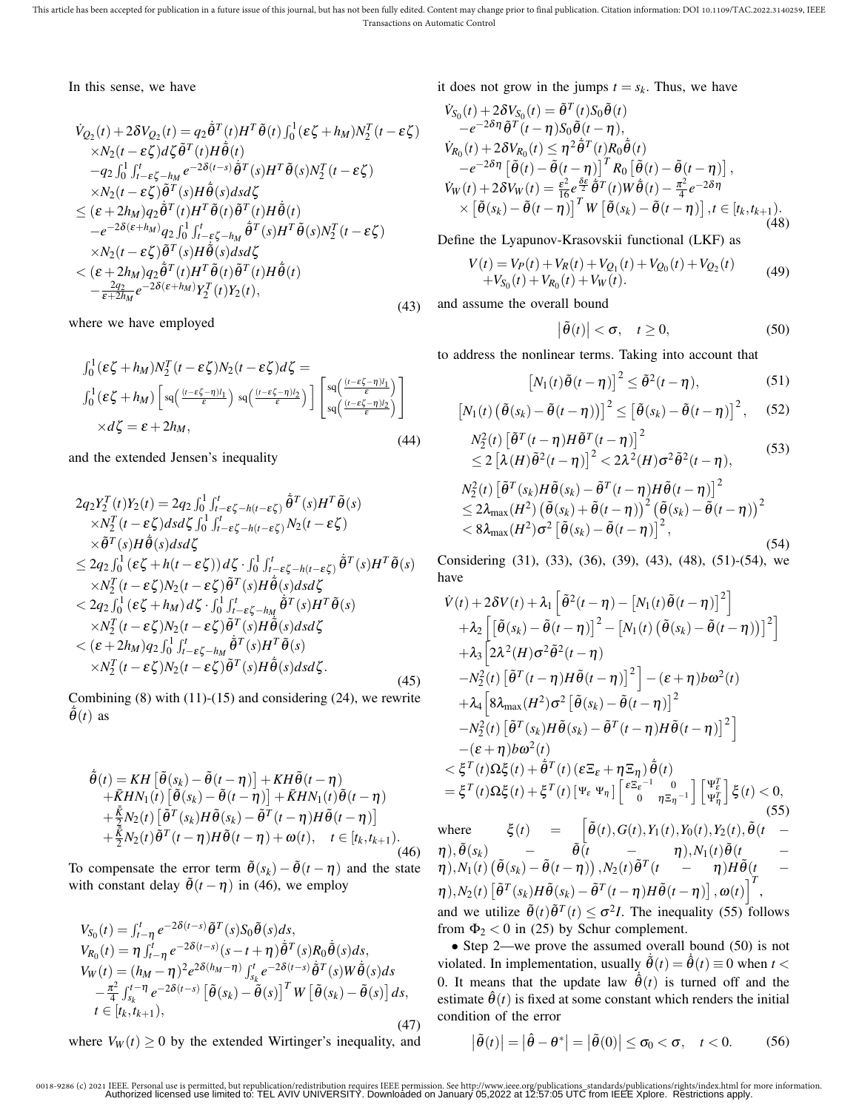In this sense, we have

$$
\dot{V}_{Q_2}(t) + 2\delta V_{Q_2}(t) = q_2 \dot{\tilde{\theta}}^T(t)H^T \tilde{\theta}(t) \int_0^1 (\varepsilon \zeta + h_M) N_2^T(t - \varepsilon \zeta) \times N_2(t - \varepsilon \zeta) d\zeta \tilde{\theta}^T(t) H \dot{\tilde{\theta}}(t) \n- q_2 \int_0^1 \int_{t - \varepsilon \zeta - h_M}^t e^{-2\delta(t - s)} \dot{\tilde{\theta}}^T(s) H^T \tilde{\theta}(s) N_2^T(t - \varepsilon \zeta) \times N_2(t - \varepsilon \zeta) \tilde{\theta}^T(s) H \dot{\tilde{\theta}}(s) ds d\zeta \n\le (\varepsilon + 2h_M) q_2 \dot{\tilde{\theta}}^T(t) H^T \tilde{\theta}(t) \tilde{\theta}^T(t) H \dot{\tilde{\theta}}(t) \n- e^{-2\delta(\varepsilon + h_M)} q_2 \int_0^1 \int_{t - \varepsilon \zeta - h_M}^t \dot{\tilde{\theta}}^T(s) H^T \tilde{\theta}(s) N_2^T(t - \varepsilon \zeta) \times N_2(t - \varepsilon \zeta) \tilde{\theta}^T(s) H \dot{\tilde{\theta}}(s) ds d\zeta \n< (\varepsilon + 2h_M) q_2 \dot{\tilde{\theta}}^T(t) H^T \tilde{\theta}(t) \tilde{\theta}^T(t) H \dot{\tilde{\theta}}(t) \n- \frac{2q_2}{\varepsilon + 2h_M} e^{-2\delta(\varepsilon + h_M)} Y_2^T(t) Y_2(t),
$$
\n(43)

where we have employed

$$
\int_0^1 (\varepsilon \zeta + h_M) N_2^T (t - \varepsilon \zeta) N_2 (t - \varepsilon \zeta) d\zeta =
$$
  

$$
\int_0^1 (\varepsilon \zeta + h_M) \left[ s q\left( \frac{(t - \varepsilon \zeta - \eta)l_1}{\varepsilon} \right) s q\left( \frac{(t - \varepsilon \zeta - \eta)l_2}{\varepsilon} \right) \right] \left[ s q\left( \frac{(t - \varepsilon \zeta - \eta)l_1}{\varepsilon} \right) \right]
$$
  

$$
\times d\zeta = \varepsilon + 2h_M,
$$
 (44)

and the extended Jensen's inequality

$$
2q_{2}Y_{2}^{T}(t)Y_{2}(t) = 2q_{2} \int_{0}^{1} \int_{t-\epsilon\zeta-h(t-\epsilon\zeta)}^{t} \tilde{\theta}^{T}(s)H^{T}\tilde{\theta}(s)
$$
  
\n
$$
\times N_{2}^{T}(t-\epsilon\zeta)dsd\zeta \int_{0}^{1} \int_{t-\epsilon\zeta-h(t-\epsilon\zeta)}^{t} N_{2}(t-\epsilon\zeta)
$$
  
\n
$$
\times \tilde{\theta}^{T}(s)H\tilde{\theta}(s)dsd\zeta
$$
  
\n
$$
\leq 2q_{2} \int_{0}^{1} (\epsilon\zeta+h(t-\epsilon\zeta))d\zeta \cdot \int_{0}^{1} \int_{t-\epsilon\zeta-h(t-\epsilon\zeta)}^{t} \tilde{\theta}^{T}(s)H^{T}\tilde{\theta}(s)
$$
  
\n
$$
\times N_{2}^{T}(t-\epsilon\zeta)N_{2}(t-\epsilon\zeta)\tilde{\theta}^{T}(s)H\tilde{\theta}(s)dsd\zeta
$$
  
\n
$$
< 2q_{2} \int_{0}^{1} (\epsilon\zeta+h_{M})d\zeta \cdot \int_{0}^{1} \int_{t-\epsilon\zeta-h_{M}}^{t} \tilde{\theta}^{T}(s)H^{T}\tilde{\theta}(s)
$$
  
\n
$$
\times N_{2}^{T}(t-\epsilon\zeta)N_{2}(t-\epsilon\zeta)\tilde{\theta}^{T}(s)H\tilde{\theta}(s)dsd\zeta
$$
  
\n
$$
< (\epsilon+2h_{M})q_{2} \int_{0}^{1} \int_{t-\epsilon\zeta-h_{M}}^{t} \tilde{\theta}^{T}(s)H^{T}\tilde{\theta}(s)
$$
  
\n
$$
\times N_{2}^{T}(t-\epsilon\zeta)N_{2}(t-\epsilon\zeta)\tilde{\theta}^{T}(s)H\tilde{\theta}(s)dsd\zeta.
$$
  
\n(45)

Combining  $(8)$  with  $(11)-(15)$  and considering  $(24)$ , we rewrite  $\dot{\tilde{\theta}}(t)$  as

$$
\tilde{\theta}(t) = KH \left[ \tilde{\theta}(s_k) - \tilde{\theta}(t - \eta) \right] + KH \tilde{\theta}(t - \eta) \n+ \bar{K}HN_1(t) \left[ \tilde{\theta}(s_k) - \tilde{\theta}(t - \eta) \right] + \bar{K}HN_1(t) \tilde{\theta}(t - \eta) \n+ \frac{\bar{K}}{2} N_2(t) \left[ \tilde{\theta}^T(s_k) H \tilde{\theta}(s_k) - \tilde{\theta}^T(t - \eta) H \tilde{\theta}(t - \eta) \right] \n+ \frac{\bar{K}}{2} N_2(t) \tilde{\theta}^T(t - \eta) H \tilde{\theta}(t - \eta) + \omega(t), \quad t \in [t_k, t_{k+1}).
$$
\n(46)

To compensate the error term  $\tilde{\theta}(s_k) - \tilde{\theta}(t - \eta)$  and the state with constant delay  $\tilde{\theta}(t-\eta)$  in (46), we employ

$$
V_{S_0}(t) = \int_{t-\eta}^t e^{-2\delta(t-s)} \tilde{\theta}^T(s) S_0 \tilde{\theta}(s) ds,
$$
  
\n
$$
V_{R_0}(t) = \eta \int_{t-\eta}^t e^{-2\delta(t-s)} (s-t+\eta) \dot{\tilde{\theta}}^T(s) R_0 \dot{\tilde{\theta}}(s) ds,
$$
  
\n
$$
V_W(t) = (h_M - \eta)^2 e^{2\delta(h_M - \eta)} \int_{s_k}^t e^{-2\delta(t-s)} \dot{\tilde{\theta}}^T(s) W \dot{\tilde{\theta}}(s) ds
$$
  
\n
$$
- \frac{\pi^2}{4} \int_{s_k}^{t-\eta} e^{-2\delta(t-s)} \left[ \tilde{\theta}(s_k) - \tilde{\theta}(s) \right]^T W \left[ \tilde{\theta}(s_k) - \tilde{\theta}(s) \right] ds,
$$
  
\n $t \in [t_k, t_{k+1}),$ \n(47)

where  $V_W(t) \geq 0$  by the extended Wirtinger's inequality, and

it does not grow in the jumps  $t = s_k$ . Thus, we have

$$
\dot{V}_{S_0}(t) + 2\delta V_{S_0}(t) = \tilde{\theta}^T(t)S_0\tilde{\theta}(t)
$$
\n
$$
-e^{-2\delta\eta}\tilde{\theta}^T(t-\eta)S_0\tilde{\theta}(t-\eta),
$$
\n
$$
\dot{V}_{R_0}(t) + 2\delta V_{R_0}(t) \le \eta^2\tilde{\theta}^T(t)R_0\tilde{\theta}(t)
$$
\n
$$
-e^{-2\delta\eta}\left[\tilde{\theta}(t) - \tilde{\theta}(t-\eta)\right]^T R_0\left[\tilde{\theta}(t) - \tilde{\theta}(t-\eta)\right],
$$
\n
$$
\dot{V}_W(t) + 2\delta V_W(t) = \frac{\varepsilon^2}{16}e^{\frac{\delta\varepsilon}{2}}\tilde{\theta}^T(t)W\tilde{\theta}(t) - \frac{\pi^2}{4}e^{-2\delta\eta}
$$
\n
$$
\times \left[\tilde{\theta}(s_k) - \tilde{\theta}(t-\eta)\right]^T W\left[\tilde{\theta}(s_k) - \tilde{\theta}(t-\eta)\right], t \in [t_k, t_{k+1}).
$$
\n(48)

Define the Lyapunov-Krasovskii functional (LKF) as

$$
V(t) = V_P(t) + V_R(t) + V_{Q_1}(t) + V_{Q_0}(t) + V_{Q_2}(t)
$$
  
+
$$
V_{S_0}(t) + V_{R_0}(t) + V_W(t).
$$
 (49)

and assume the overall bound

$$
\left|\tilde{\theta}(t)\right| < \sigma, \quad t \ge 0,\tag{50}
$$

to address the nonlinear terms. Taking into account that

$$
[N_1(t)\tilde{\theta}(t-\eta)]^2 \leq \tilde{\theta}^2(t-\eta), \qquad (51)
$$

$$
\left[N_1(t)\left(\tilde{\theta}(s_k)-\tilde{\theta}(t-\eta)\right)\right]^2\leq \left[\tilde{\theta}(s_k)-\tilde{\theta}(t-\eta)\right]^2, \quad (52)
$$

$$
N_2^2(t) \left[ \tilde{\theta}^T(t-\eta) H \tilde{\theta}^T(t-\eta) \right]^2 \n\leq 2 \left[ \lambda(H) \tilde{\theta}^2(t-\eta) \right]^2 < 2\lambda^2(H) \sigma^2 \tilde{\theta}^2(t-\eta),
$$
\n(53)

$$
N_2^2(t) \left[ \tilde{\theta}^T(s_k) H \tilde{\theta}(s_k) - \tilde{\theta}^T(t - \eta) H \tilde{\theta}(t - \eta) \right]^2
$$
  
\n
$$
\leq 2 \lambda_{\text{max}}(H^2) \left( \tilde{\theta}(s_k) + \tilde{\theta}(t - \eta) \right)^2 \left( \tilde{\theta}(s_k) - \tilde{\theta}(t - \eta) \right)^2
$$
  
\n
$$
< 8 \lambda_{\text{max}}(H^2) \sigma^2 \left[ \tilde{\theta}(s_k) - \tilde{\theta}(t - \eta) \right]^2,
$$
\n(54)

Considering (31), (33), (36), (39), (43), (48), (51)-(54), we have

$$
\dot{V}(t) + 2\delta V(t) + \lambda_1 \left[ \tilde{\theta}^2(t-\eta) - \left[ N_1(t) \tilde{\theta}(t-\eta) \right]^2 \right] \n+ \lambda_2 \left[ \left[ \tilde{\theta}(s_k) - \tilde{\theta}(t-\eta) \right]^2 - \left[ N_1(t) \left( \tilde{\theta}(s_k) - \tilde{\theta}(t-\eta) \right]^2 \right] \n+ \lambda_3 \left[ 2\lambda^2(H)\sigma^2 \tilde{\theta}^2(t-\eta) \n- N_2^2(t) \left[ \tilde{\theta}^T(t-\eta)H\tilde{\theta}(t-\eta) \right]^2 \right] - (\varepsilon + \eta) b\omega^2(t) \n+ \lambda_4 \left[ 8\lambda_{\max}(H^2)\sigma^2 \left[ \tilde{\theta}(s_k) - \tilde{\theta}(t-\eta) \right]^2 \n- N_2^2(t) \left[ \tilde{\theta}^T(s_k)H\tilde{\theta}(s_k) - \tilde{\theta}^T(t-\eta)H\tilde{\theta}(t-\eta) \right]^2 \n- (\varepsilon + \eta) b\omega^2(t) \n< \xi^T(t)\Omega\xi(t) + \tilde{\theta}^T(t) (\varepsilon \Xi_{\varepsilon} + \eta \Xi_{\eta}) \tilde{\theta}(t) \n= \xi^T(t)\Omega\xi(t) + \xi^T(t) \left[ \Psi_{\varepsilon} \Psi_{\eta} \right] \left[ \frac{\varepsilon \Xi_{\varepsilon}^{-1}}{0} - \frac{0}{\eta \Xi_{\eta}^{-1}} \right] \left[ \Psi_{\eta}^{\tilde{\theta}} \right] \xi(t) < 0, \tag{55}
$$

where  $\xi(t) = \left[ \tilde{\theta}(t), G(t), Y_1(t), Y_0(t), Y_2(t), \tilde{\theta}(t) \right]$  $\tilde{\boldsymbol{\theta}}(t) = \tilde{\boldsymbol{\theta}}(t) = \tilde{\boldsymbol{\theta}}(t) = \tilde{\boldsymbol{\theta}}(t) = \tilde{\boldsymbol{\theta}}(t) = \tilde{\boldsymbol{\theta}}(t)$  $\tilde{\theta}(t) = \tilde{\theta}(t-\eta)$ ,  $N_2(t)\tilde{\theta}^T(t) - \eta$ ) $H\tilde{\theta}(t) = -\frac{1}{2}$  $\eta$ ), $N_2(t) \left[ \tilde{\theta}^T(s_k) H \tilde{\theta}(s_k) - \tilde{\theta}^T(t - \eta) H \tilde{\theta}(t - \eta) \right], \omega(t) \right]^T$ and we utilize  $\tilde{\theta}(t) \tilde{\theta}^{T}(t) \leq \sigma^2 I$ . The inequality (55) follows from  $\Phi_2$  < 0 in (25) by Schur complement.

• Step 2—we prove the assumed overall bound (50) is not violated. In implementation, usually  $\dot{\tilde{\theta}}(t) = \dot{\tilde{\theta}}(t) \equiv 0$  when  $t <$ 0. It means that the update law  $\dot{\hat{\theta}}(t)$  is turned off and the estimate  $\hat{\theta}(t)$  is fixed at some constant which renders the initial condition of the error

$$
\left|\tilde{\theta}(t)\right| = \left|\hat{\theta} - \theta^*\right| = \left|\tilde{\theta}(0)\right| \leq \sigma_0 < \sigma, \quad t < 0. \tag{56}
$$

 $\overline{\phantom{a}}$ 

<sup>0018-9286 (</sup>c) 2021 IEEE. Personal use is permitted, but republication/redistribution requires IEEE permission. See http://www.ieee.org/publications\_standards/publications/rights/index.html for more information.<br>Authorized